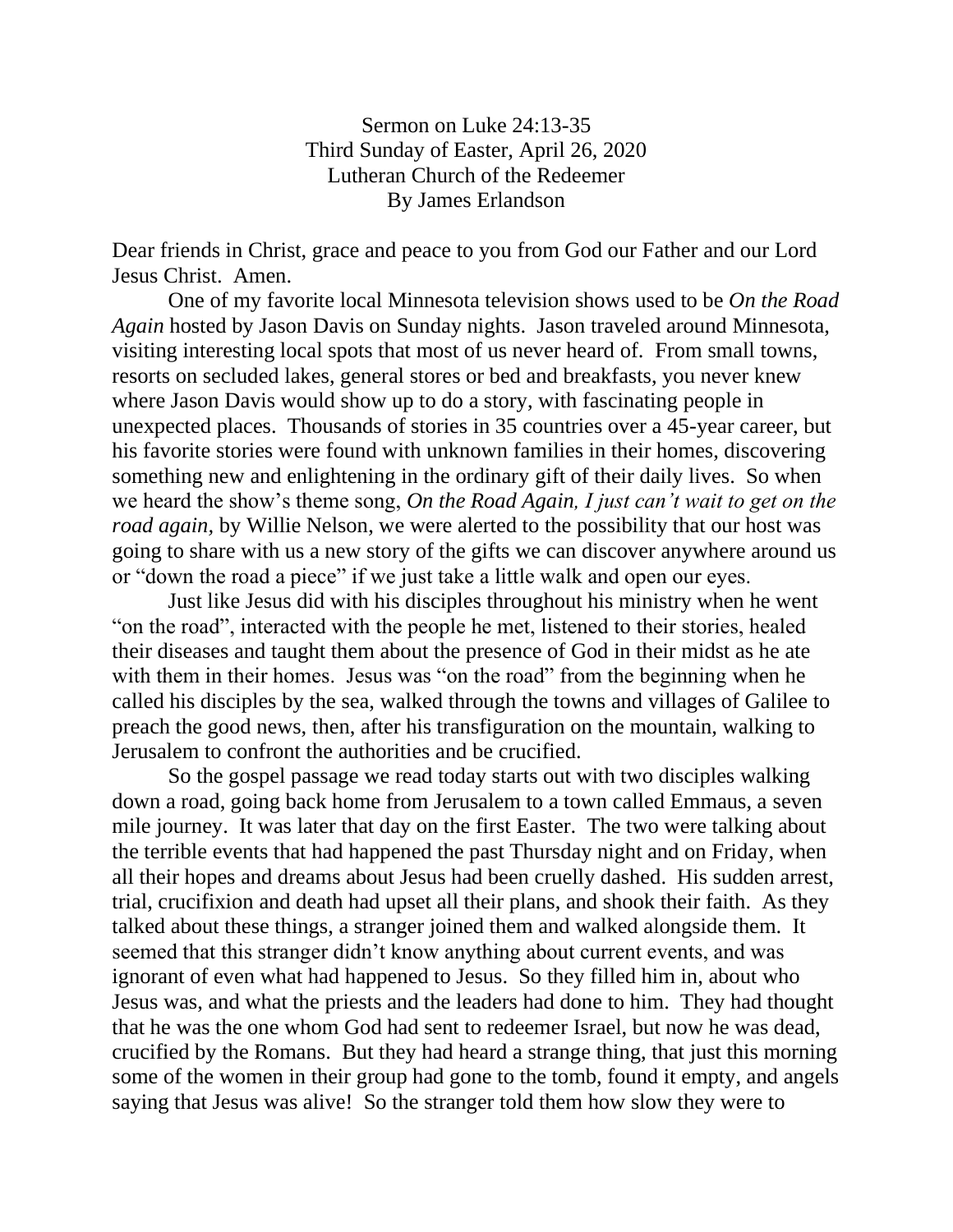Sermon on Luke 24:13-35 Third Sunday of Easter, April 26, 2020 Lutheran Church of the Redeemer By James Erlandson

Dear friends in Christ, grace and peace to you from God our Father and our Lord Jesus Christ. Amen.

One of my favorite local Minnesota television shows used to be *On the Road Again* hosted by Jason Davis on Sunday nights. Jason traveled around Minnesota, visiting interesting local spots that most of us never heard of. From small towns, resorts on secluded lakes, general stores or bed and breakfasts, you never knew where Jason Davis would show up to do a story, with fascinating people in unexpected places. Thousands of stories in 35 countries over a 45-year career, but his favorite stories were found with unknown families in their homes, discovering something new and enlightening in the ordinary gift of their daily lives. So when we heard the show's theme song, *On the Road Again, I just can't wait to get on the road again,* by Willie Nelson, we were alerted to the possibility that our host was going to share with us a new story of the gifts we can discover anywhere around us or "down the road a piece" if we just take a little walk and open our eyes.

Just like Jesus did with his disciples throughout his ministry when he went "on the road", interacted with the people he met, listened to their stories, healed their diseases and taught them about the presence of God in their midst as he ate with them in their homes. Jesus was "on the road" from the beginning when he called his disciples by the sea, walked through the towns and villages of Galilee to preach the good news, then, after his transfiguration on the mountain, walking to Jerusalem to confront the authorities and be crucified.

So the gospel passage we read today starts out with two disciples walking down a road, going back home from Jerusalem to a town called Emmaus, a seven mile journey. It was later that day on the first Easter. The two were talking about the terrible events that had happened the past Thursday night and on Friday, when all their hopes and dreams about Jesus had been cruelly dashed. His sudden arrest, trial, crucifixion and death had upset all their plans, and shook their faith. As they talked about these things, a stranger joined them and walked alongside them. It seemed that this stranger didn't know anything about current events, and was ignorant of even what had happened to Jesus. So they filled him in, about who Jesus was, and what the priests and the leaders had done to him. They had thought that he was the one whom God had sent to redeemer Israel, but now he was dead, crucified by the Romans. But they had heard a strange thing, that just this morning some of the women in their group had gone to the tomb, found it empty, and angels saying that Jesus was alive! So the stranger told them how slow they were to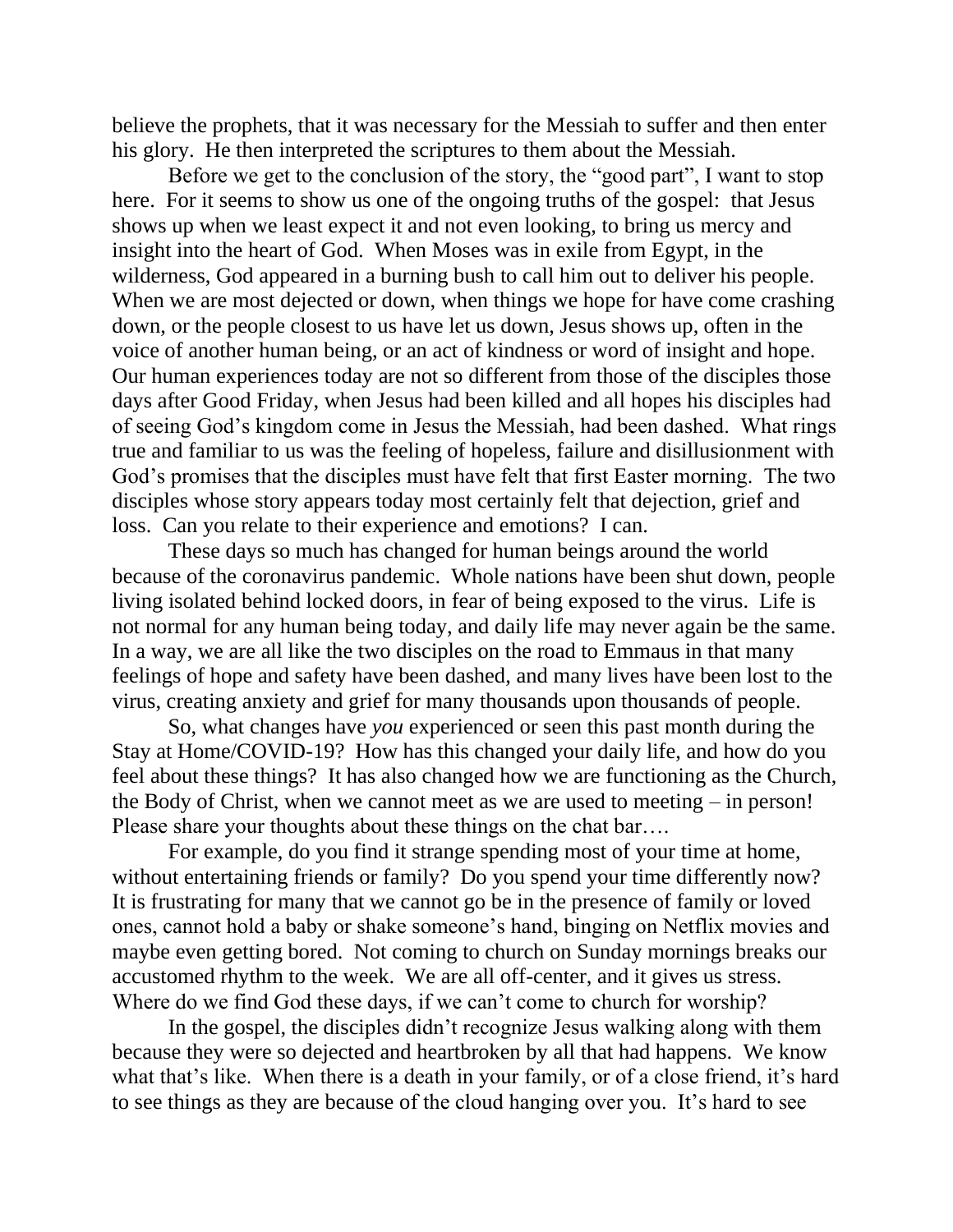believe the prophets, that it was necessary for the Messiah to suffer and then enter his glory. He then interpreted the scriptures to them about the Messiah.

Before we get to the conclusion of the story, the "good part", I want to stop here. For it seems to show us one of the ongoing truths of the gospel: that Jesus shows up when we least expect it and not even looking, to bring us mercy and insight into the heart of God. When Moses was in exile from Egypt, in the wilderness, God appeared in a burning bush to call him out to deliver his people. When we are most dejected or down, when things we hope for have come crashing down, or the people closest to us have let us down, Jesus shows up, often in the voice of another human being, or an act of kindness or word of insight and hope. Our human experiences today are not so different from those of the disciples those days after Good Friday, when Jesus had been killed and all hopes his disciples had of seeing God's kingdom come in Jesus the Messiah, had been dashed. What rings true and familiar to us was the feeling of hopeless, failure and disillusionment with God's promises that the disciples must have felt that first Easter morning. The two disciples whose story appears today most certainly felt that dejection, grief and loss. Can you relate to their experience and emotions? I can.

These days so much has changed for human beings around the world because of the coronavirus pandemic. Whole nations have been shut down, people living isolated behind locked doors, in fear of being exposed to the virus. Life is not normal for any human being today, and daily life may never again be the same. In a way, we are all like the two disciples on the road to Emmaus in that many feelings of hope and safety have been dashed, and many lives have been lost to the virus, creating anxiety and grief for many thousands upon thousands of people.

So, what changes have *you* experienced or seen this past month during the Stay at Home/COVID-19? How has this changed your daily life, and how do you feel about these things? It has also changed how we are functioning as the Church, the Body of Christ, when we cannot meet as we are used to meeting – in person! Please share your thoughts about these things on the chat bar….

For example, do you find it strange spending most of your time at home, without entertaining friends or family? Do you spend your time differently now? It is frustrating for many that we cannot go be in the presence of family or loved ones, cannot hold a baby or shake someone's hand, binging on Netflix movies and maybe even getting bored. Not coming to church on Sunday mornings breaks our accustomed rhythm to the week. We are all off-center, and it gives us stress. Where do we find God these days, if we can't come to church for worship?

In the gospel, the disciples didn't recognize Jesus walking along with them because they were so dejected and heartbroken by all that had happens. We know what that's like. When there is a death in your family, or of a close friend, it's hard to see things as they are because of the cloud hanging over you. It's hard to see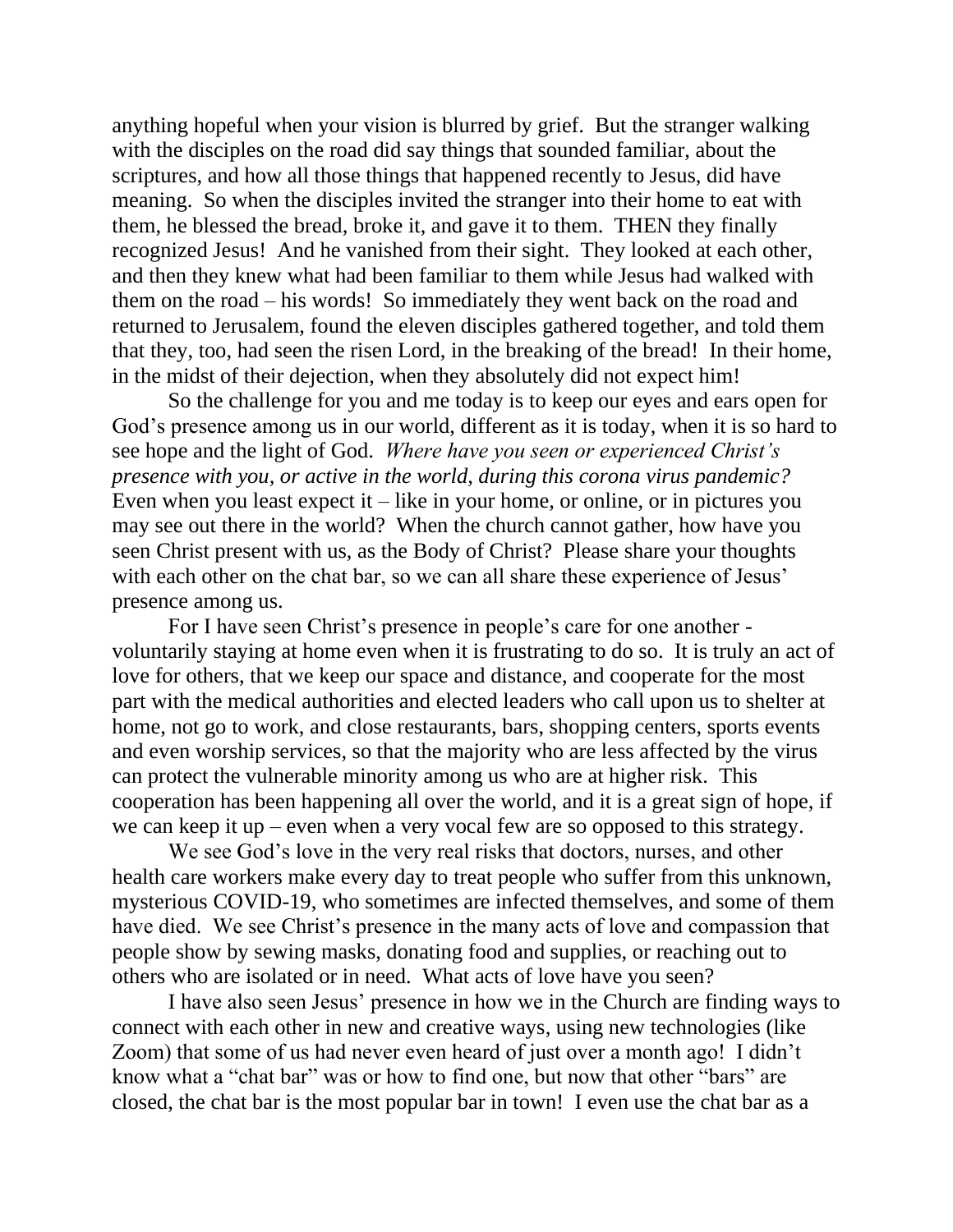anything hopeful when your vision is blurred by grief. But the stranger walking with the disciples on the road did say things that sounded familiar, about the scriptures, and how all those things that happened recently to Jesus, did have meaning. So when the disciples invited the stranger into their home to eat with them, he blessed the bread, broke it, and gave it to them. THEN they finally recognized Jesus! And he vanished from their sight. They looked at each other, and then they knew what had been familiar to them while Jesus had walked with them on the road – his words! So immediately they went back on the road and returned to Jerusalem, found the eleven disciples gathered together, and told them that they, too, had seen the risen Lord, in the breaking of the bread! In their home, in the midst of their dejection, when they absolutely did not expect him!

So the challenge for you and me today is to keep our eyes and ears open for God's presence among us in our world, different as it is today, when it is so hard to see hope and the light of God. *Where have you seen or experienced Christ's presence with you, or active in the world, during this corona virus pandemic?* Even when you least expect it – like in your home, or online, or in pictures you may see out there in the world? When the church cannot gather, how have you seen Christ present with us, as the Body of Christ? Please share your thoughts with each other on the chat bar, so we can all share these experience of Jesus' presence among us.

For I have seen Christ's presence in people's care for one another voluntarily staying at home even when it is frustrating to do so. It is truly an act of love for others, that we keep our space and distance, and cooperate for the most part with the medical authorities and elected leaders who call upon us to shelter at home, not go to work, and close restaurants, bars, shopping centers, sports events and even worship services, so that the majority who are less affected by the virus can protect the vulnerable minority among us who are at higher risk. This cooperation has been happening all over the world, and it is a great sign of hope, if we can keep it up – even when a very vocal few are so opposed to this strategy.

We see God's love in the very real risks that doctors, nurses, and other health care workers make every day to treat people who suffer from this unknown, mysterious COVID-19, who sometimes are infected themselves, and some of them have died. We see Christ's presence in the many acts of love and compassion that people show by sewing masks, donating food and supplies, or reaching out to others who are isolated or in need. What acts of love have you seen?

I have also seen Jesus' presence in how we in the Church are finding ways to connect with each other in new and creative ways, using new technologies (like Zoom) that some of us had never even heard of just over a month ago! I didn't know what a "chat bar" was or how to find one, but now that other "bars" are closed, the chat bar is the most popular bar in town! I even use the chat bar as a